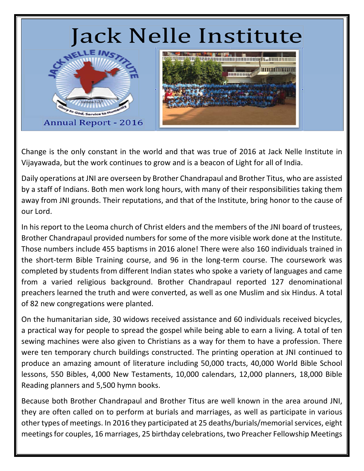

Change is the only constant in the world and that was true of 2016 at Jack Nelle Institute in Vijayawada, but the work continues to grow and is a beacon of Light for all of India.

Daily operations at JNI are overseen by Brother Chandrapaul and Brother Titus, who are assisted by a staff of Indians. Both men work long hours, with many of their responsibilities taking them away from JNI grounds. Their reputations, and that of the Institute, bring honor to the cause of our Lord.

In his report to the Leoma church of Christ elders and the members of the JNI board of trustees, Brother Chandrapaul provided numbers for some of the more visible work done at the Institute. Those numbers include 455 baptisms in 2016 alone! There were also 160 individuals trained in the short-term Bible Training course, and 96 in the long-term course. The coursework was completed by students from different Indian states who spoke a variety of languages and came from a varied religious background. Brother Chandrapaul reported 127 denominational preachers learned the truth and were converted, as well as one Muslim and six Hindus. A total of 82 new congregations were planted.

On the humanitarian side, 30 widows received assistance and 60 individuals received bicycles, a practical way for people to spread the gospel while being able to earn a living. A total of ten sewing machines were also given to Christians as a way for them to have a profession. There were ten temporary church buildings constructed. The printing operation at JNI continued to produce an amazing amount of literature including 50,000 tracts, 40,000 World Bible School lessons, 550 Bibles, 4,000 New Testaments, 10,000 calendars, 12,000 planners, 18,000 Bible Reading planners and 5,500 hymn books.

Because both Brother Chandrapaul and Brother Titus are well known in the area around JNI, they are often called on to perform at burials and marriages, as well as participate in various other types of meetings. In 2016 they participated at 25 deaths/burials/memorial services, eight meetings for couples, 16 marriages, 25 birthday celebrations, two Preacher Fellowship Meetings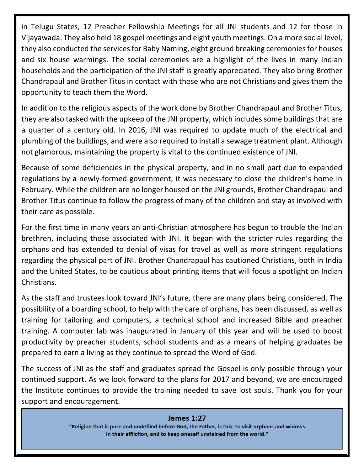in Telugu States, 12 Preacher Fellowship Meetings for all JNI students and 12 for those in Vijayawada. They also held 18 gospel meetings and eight youth meetings. On a more social level, they also conducted the services for Baby Naming, eight ground breaking ceremonies for houses and six house warmings. The social ceremonies are a highlight of the lives in many Indian households and the participation of the JNI staff is greatly appreciated. They also bring Brother Chandrapaul and Brother Titus in contact with those who are not Christians and gives them the opportunity to teach them the Word.

In addition to the religious aspects of the work done by Brother Chandrapaul and Brother Titus, they are also tasked with the upkeep of the JNI property, which includes some buildings that are a quarter of a century old. In 2016, JNI was required to update much of the electrical and plumbing of the buildings, and were also required to install a sewage treatment plant. Although not glamorous, maintaining the property is vital to the continued existence of JNI.

Because of some deficiencies in the physical property, and in no small part due to expanded regulations by a newly‐formed government, it was necessary to close the children's home in February. While the children are no longer housed on the JNI grounds, Brother Chandrapaul and Brother Titus continue to follow the progress of many of the children and stay as involved with their care as possible.

For the first time in many years an anti‐Christian atmosphere has begun to trouble the Indian brethren, including those associated with JNI. It began with the stricter rules regarding the orphans and has extended to denial of visas for travel as well as more stringent regulations regarding the physical part of JNI. Brother Chandrapaul has cautioned Christians, both in India and the United States, to be cautious about printing items that will focus a spotlight on Indian Christians.

As the staff and trustees look toward JNI's future, there are many plans being considered. The possibility of a boarding school, to help with the care of orphans, has been discussed, as well as training for tailoring and computers, a technical school and increased Bible and preacher training. A computer lab was inaugurated in January of this year and will be used to boost productivity by preacher students, school students and as a means of helping graduates be prepared to earn a living as they continue to spread the Word of God.

The success of JNI as the staff and graduates spread the Gospel is only possible through your continued support. As we look forward to the plans for 2017 and beyond, we are encouraged the Institute continues to provide the training needed to save lost souls. Thank you for your support and encouragement.

## **James 1:27**

"Religion that is pure and undefiled before God, the Father, is this: to visit orphans and widows in their affliction, and to keep oneself unstained from the world."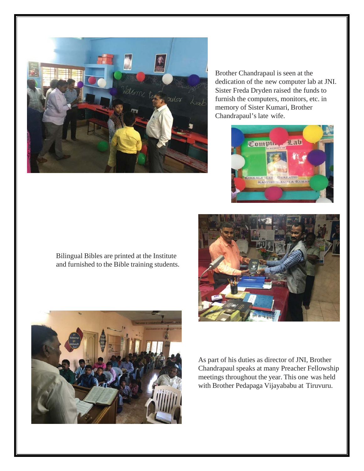

Brother Chandrapaul is seen at the dedication of the new computer lab at JNI. Sister Freda Dryden raised the funds to furnish the computers, monitors, etc. in memory of Sister Kumari, Brother Chandrapaul's late wife.



Bilingual Bibles are printed at the Institute and furnished to the Bible training students.





As part of his duties as director of JNI, Brother Chandrapaul speaks at many Preacher Fellowship meetings throughout the year. This one was held with Brother Pedapaga Vijayababu at Tiruvuru.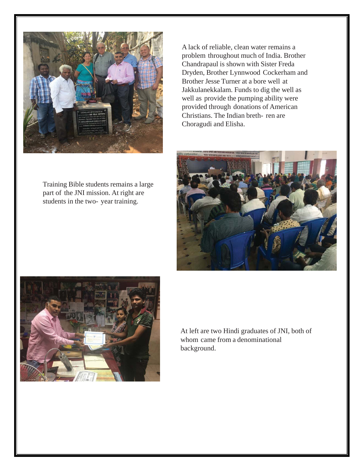

Training Bible students remains a large part of the JNI mission. At right are students in the two- year training.

A lack of reliable, clean water remains a problem throughout much of India. Brother Chandrapaul is shown with Sister Freda Dryden, Brother Lynnwood Cockerham and Brother Jesse Turner at a bore well at Jakkulanekkalam. Funds to dig the well as well as provide the pumping ability were provided through donations of American Christians. The Indian breth- ren are Choragudi and Elisha.





At left are two Hindi graduates of JNI, both of whom came from a denominational background.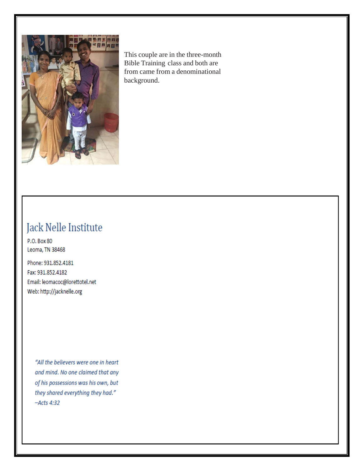

This couple are in the three-month Bible Training class and both are from came from a denominational background.

## Jack Nelle Institute

P.O. Box 80 Leoma, TN 38468

Phone: 931.852.4181 Fax: 931.852.4182 Email: leomacoc@lorettotel.net Web: http://jacknelle.org

> "All the believers were one in heart and mind. No one claimed that any of his possessions was his own, but they shared everything they had."  $-Acts 4:32$